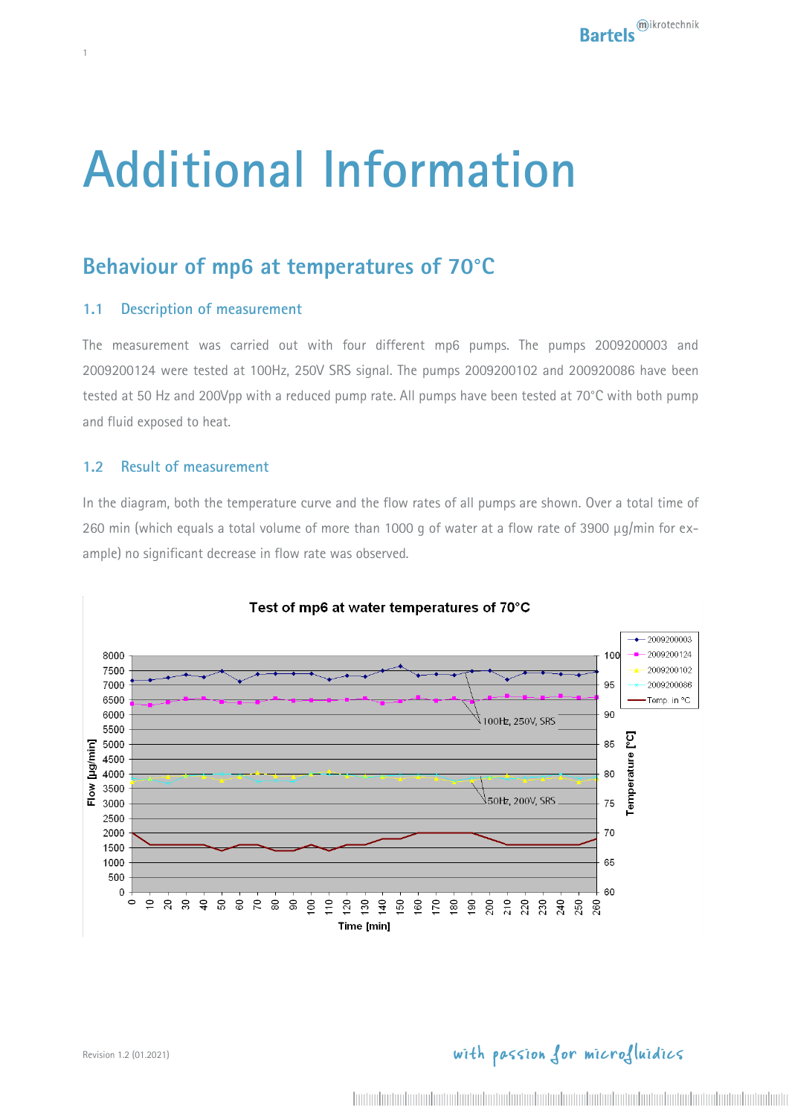# **Additional Information**

## **Behaviour of mp6 at temperatures of 70°C**

### **1.1 Description of measurement**

1

The measurement was carried out with four different mp6 pumps. The pumps 2009200003 and 2009200124 were tested at 100Hz, 250V SRS signal. The pumps 2009200102 and 200920086 have been tested at 50 Hz and 200Vpp with a reduced pump rate. All pumps have been tested at 70°C with both pump and fluid exposed to heat.

### **1.2 Result of measurement**

In the diagram, both the temperature curve and the flow rates of all pumps are shown. Over a total time of 260 min (which equals a total volume of more than 1000 q of water at a flow rate of 3900  $\mu q/min$  for example) no significant decrease in flow rate was observed.



## with passion for microfluidics